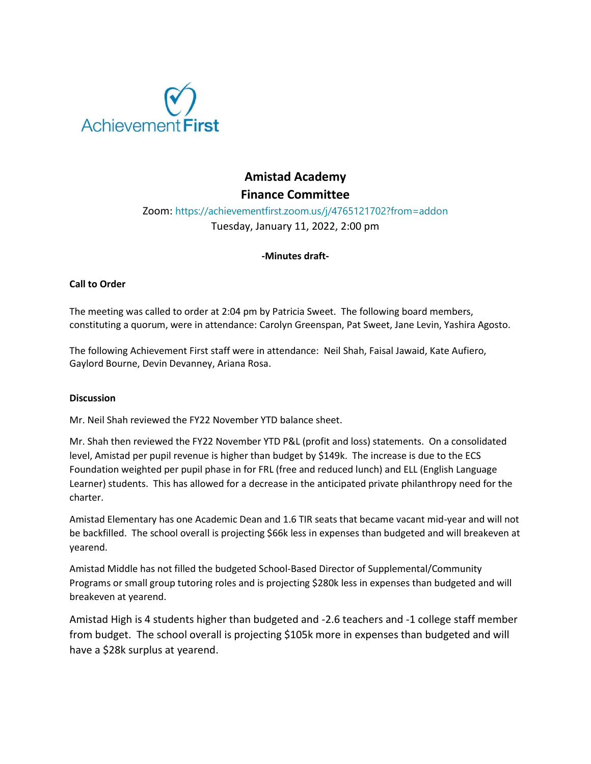

# **Amistad Academy Finance Committee**

# Zoom: https://achievementfirst.zoom.us/j/4765121702?from=addon Tuesday, January 11, 2022, 2:00 pm

### **-Minutes draft-**

## **Call to Order**

The meeting was called to order at 2:04 pm by Patricia Sweet. The following board members, constituting a quorum, were in attendance: Carolyn Greenspan, Pat Sweet, Jane Levin, Yashira Agosto.

The following Achievement First staff were in attendance: Neil Shah, Faisal Jawaid, Kate Aufiero, Gaylord Bourne, Devin Devanney, Ariana Rosa.

### **Discussion**

Mr. Neil Shah reviewed the FY22 November YTD balance sheet.

Mr. Shah then reviewed the FY22 November YTD P&L (profit and loss) statements. On a consolidated level, Amistad per pupil revenue is higher than budget by \$149k. The increase is due to the ECS Foundation weighted per pupil phase in for FRL (free and reduced lunch) and ELL (English Language Learner) students. This has allowed for a decrease in the anticipated private philanthropy need for the charter.

Amistad Elementary has one Academic Dean and 1.6 TIR seats that became vacant mid-year and will not be backfilled. The school overall is projecting \$66k less in expenses than budgeted and will breakeven at yearend.

Amistad Middle has not filled the budgeted School-Based Director of Supplemental/Community Programs or small group tutoring roles and is projecting \$280k less in expenses than budgeted and will breakeven at yearend.

Amistad High is 4 students higher than budgeted and -2.6 teachers and -1 college staff member from budget. The school overall is projecting \$105k more in expenses than budgeted and will have a \$28k surplus at yearend.